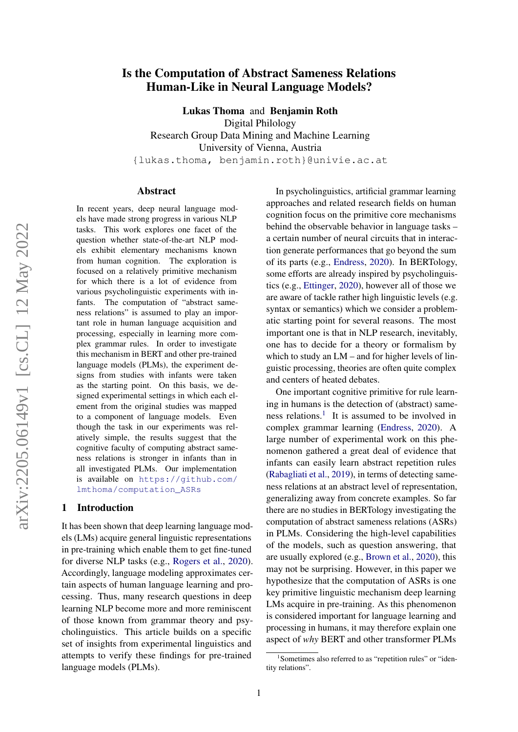# Is the Computation of Abstract Sameness Relations Human-Like in Neural Language Models?

Lukas Thoma and Benjamin Roth

Digital Philology Research Group Data Mining and Machine Learning University of Vienna, Austria {lukas.thoma, benjamin.roth}@univie.ac.at

#### Abstract

In recent years, deep neural language models have made strong progress in various NLP tasks. This work explores one facet of the question whether state-of-the-art NLP models exhibit elementary mechanisms known from human cognition. The exploration is focused on a relatively primitive mechanism for which there is a lot of evidence from various psycholinguistic experiments with infants. The computation of "abstract sameness relations" is assumed to play an important role in human language acquisition and processing, especially in learning more complex grammar rules. In order to investigate this mechanism in BERT and other pre-trained language models (PLMs), the experiment designs from studies with infants were taken as the starting point. On this basis, we designed experimental settings in which each element from the original studies was mapped to a component of language models. Even though the task in our experiments was relatively simple, the results suggest that the cognitive faculty of computing abstract sameness relations is stronger in infants than in all investigated PLMs. Our implementation is available on [https://github.com/](https://github.com/lmthoma/computation_ASRs) [lmthoma/computation\\_ASRs](https://github.com/lmthoma/computation_ASRs)

#### 1 Introduction

It has been shown that deep learning language models (LMs) acquire general linguistic representations in pre-training which enable them to get fine-tuned for diverse NLP tasks (e.g., [Rogers et al.,](#page-10-0) [2020\)](#page-10-0). Accordingly, language modeling approximates certain aspects of human language learning and processing. Thus, many research questions in deep learning NLP become more and more reminiscent of those known from grammar theory and psycholinguistics. This article builds on a specific set of insights from experimental linguistics and attempts to verify these findings for pre-trained language models (PLMs).

In psycholinguistics, artificial grammar learning approaches and related research fields on human cognition focus on the primitive core mechanisms behind the observable behavior in language tasks – a certain number of neural circuits that in interaction generate performances that go beyond the sum of its parts (e.g., [Endress,](#page-8-0) [2020\)](#page-8-0). In BERTology, some efforts are already inspired by psycholinguistics (e.g., [Ettinger,](#page-8-1) [2020\)](#page-8-1), however all of those we are aware of tackle rather high linguistic levels (e.g. syntax or semantics) which we consider a problematic starting point for several reasons. The most important one is that in NLP research, inevitably, one has to decide for a theory or formalism by which to study an LM – and for higher levels of linguistic processing, theories are often quite complex and centers of heated debates.

One important cognitive primitive for rule learning in humans is the detection of (abstract) same-ness relations.<sup>[1](#page-0-0)</sup> It is assumed to be involved in complex grammar learning [\(Endress,](#page-8-0) [2020\)](#page-8-0). A large number of experimental work on this phenomenon gathered a great deal of evidence that infants can easily learn abstract repetition rules [\(Rabagliati et al.,](#page-10-1) [2019\)](#page-10-1), in terms of detecting sameness relations at an abstract level of representation, generalizing away from concrete examples. So far there are no studies in BERTology investigating the computation of abstract sameness relations (ASRs) in PLMs. Considering the high-level capabilities of the models, such as question answering, that are usually explored (e.g., [Brown et al.,](#page-8-2) [2020\)](#page-8-2), this may not be surprising. However, in this paper we hypothesize that the computation of ASRs is one key primitive linguistic mechanism deep learning LMs acquire in pre-training. As this phenomenon is considered important for language learning and processing in humans, it may therefore explain one aspect of *why* BERT and other transformer PLMs

<span id="page-0-0"></span><sup>&</sup>lt;sup>1</sup>Sometimes also referred to as "repetition rules" or "identity relations".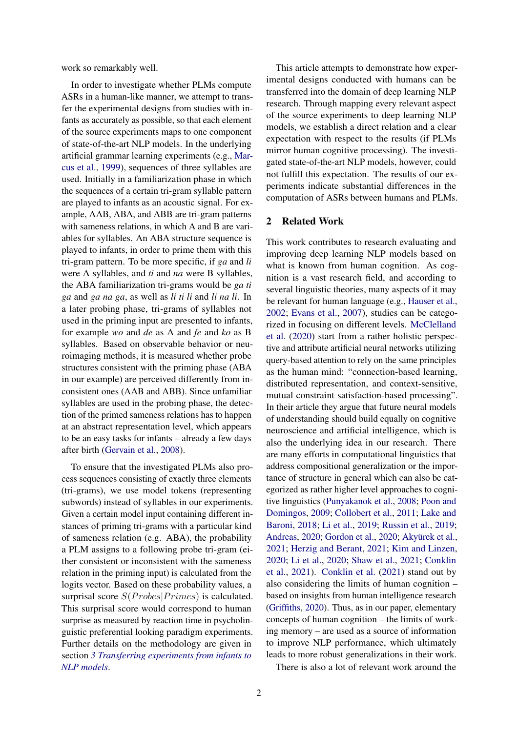work so remarkably well.

In order to investigate whether PLMs compute ASRs in a human-like manner, we attempt to transfer the experimental designs from studies with infants as accurately as possible, so that each element of the source experiments maps to one component of state-of-the-art NLP models. In the underlying artificial grammar learning experiments (e.g., [Mar](#page-9-0)[cus et al.,](#page-9-0) [1999\)](#page-9-0), sequences of three syllables are used. Initially in a familiarization phase in which the sequences of a certain tri-gram syllable pattern are played to infants as an acoustic signal. For example, AAB, ABA, and ABB are tri-gram patterns with sameness relations, in which A and B are variables for syllables. An ABA structure sequence is played to infants, in order to prime them with this tri-gram pattern. To be more specific, if *ga* and *li* were A syllables, and *ti* and *na* were B syllables, the ABA familiarization tri-grams would be *ga ti ga* and *ga na ga*, as well as *li ti li* and *li na li*. In a later probing phase, tri-grams of syllables not used in the priming input are presented to infants, for example *wo* and *de* as A and *fe* and *ko* as B syllables. Based on observable behavior or neuroimaging methods, it is measured whether probe structures consistent with the priming phase (ABA in our example) are perceived differently from inconsistent ones (AAB and ABB). Since unfamiliar syllables are used in the probing phase, the detection of the primed sameness relations has to happen at an abstract representation level, which appears to be an easy tasks for infants – already a few days after birth [\(Gervain et al.,](#page-9-1) [2008\)](#page-9-1).

To ensure that the investigated PLMs also process sequences consisting of exactly three elements (tri-grams), we use model tokens (representing subwords) instead of syllables in our experiments. Given a certain model input containing different instances of priming tri-grams with a particular kind of sameness relation (e.g. ABA), the probability a PLM assigns to a following probe tri-gram (either consistent or inconsistent with the sameness relation in the priming input) is calculated from the logits vector. Based on these probability values, a surprisal score  $S(Probes|Primes)$  is calculated. This surprisal score would correspond to human surprise as measured by reaction time in psycholinguistic preferential looking paradigm experiments. Further details on the methodology are given in section *[3](#page-2-0) [Transferring experiments from infants to](#page-2-0) [NLP models](#page-2-0)*.

This article attempts to demonstrate how experimental designs conducted with humans can be transferred into the domain of deep learning NLP research. Through mapping every relevant aspect of the source experiments to deep learning NLP models, we establish a direct relation and a clear expectation with respect to the results (if PLMs mirror human cognitive processing). The investigated state-of-the-art NLP models, however, could not fulfill this expectation. The results of our experiments indicate substantial differences in the computation of ASRs between humans and PLMs.

# 2 Related Work

This work contributes to research evaluating and improving deep learning NLP models based on what is known from human cognition. As cognition is a vast research field, and according to several linguistic theories, many aspects of it may be relevant for human language (e.g., [Hauser et al.,](#page-9-2) [2002;](#page-9-2) [Evans et al.,](#page-8-3) [2007\)](#page-8-3), studies can be categorized in focusing on different levels. [McClelland](#page-10-2) [et al.](#page-10-2) [\(2020\)](#page-10-2) start from a rather holistic perspective and attribute artificial neural networks utilizing query-based attention to rely on the same principles as the human mind: "connection-based learning, distributed representation, and context-sensitive, mutual constraint satisfaction-based processing". In their article they argue that future neural models of understanding should build equally on cognitive neuroscience and artificial intelligence, which is also the underlying idea in our research. There are many efforts in computational linguistics that address compositional generalization or the importance of structure in general which can also be categorized as rather higher level approaches to cognitive linguistics [\(Punyakanok et al.,](#page-10-3) [2008;](#page-10-3) [Poon and](#page-10-4) [Domingos,](#page-10-4) [2009;](#page-10-4) [Collobert et al.,](#page-8-4) [2011;](#page-8-4) [Lake and](#page-9-3) [Baroni,](#page-9-3) [2018;](#page-9-3) [Li et al.,](#page-9-4) [2019;](#page-9-4) [Russin et al.,](#page-10-5) [2019;](#page-10-5) [Andreas,](#page-8-5) [2020;](#page-8-5) [Gordon et al.,](#page-9-5) [2020;](#page-9-5) [Akyürek et al.,](#page-8-6) [2021;](#page-8-6) [Herzig and Berant,](#page-9-6) [2021;](#page-9-6) [Kim and Linzen,](#page-9-7) [2020;](#page-9-7) [Li et al.,](#page-9-8) [2020;](#page-9-8) [Shaw et al.,](#page-10-6) [2021;](#page-10-6) [Conklin](#page-8-7) [et al.,](#page-8-7) [2021\)](#page-8-7). [Conklin et al.](#page-8-7) [\(2021\)](#page-8-7) stand out by also considering the limits of human cognition – based on insights from human intelligence research [\(Griffiths,](#page-9-9) [2020\)](#page-9-9). Thus, as in our paper, elementary concepts of human cognition – the limits of working memory – are used as a source of information to improve NLP performance, which ultimately leads to more robust generalizations in their work.

There is also a lot of relevant work around the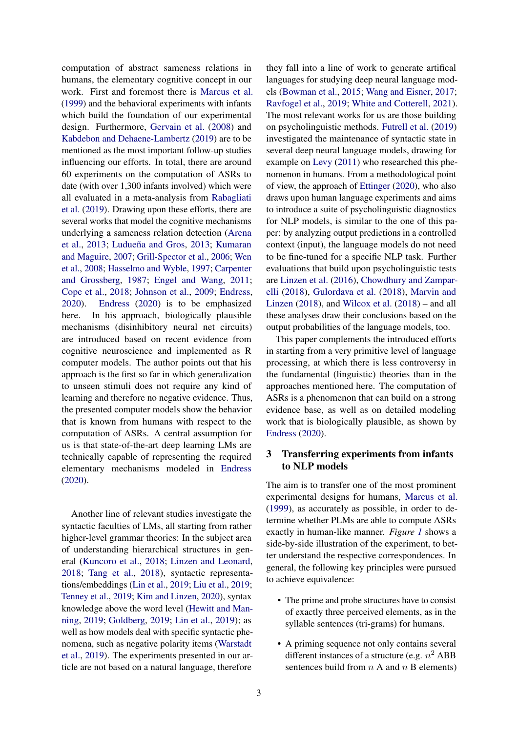computation of abstract sameness relations in humans, the elementary cognitive concept in our work. First and foremost there is [Marcus et al.](#page-9-0) [\(1999\)](#page-9-0) and the behavioral experiments with infants which build the foundation of our experimental design. Furthermore, [Gervain et al.](#page-9-1) [\(2008\)](#page-9-1) and [Kabdebon and Dehaene-Lambertz](#page-9-10) [\(2019\)](#page-9-10) are to be mentioned as the most important follow-up studies influencing our efforts. In total, there are around 60 experiments on the computation of ASRs to date (with over 1,300 infants involved) which were all evaluated in a meta-analysis from [Rabagliati](#page-10-1) [et al.](#page-10-1) [\(2019\)](#page-10-1). Drawing upon these efforts, there are several works that model the cognitive mechanisms underlying a sameness relation detection [\(Arena](#page-8-8) [et al.,](#page-8-8) [2013;](#page-8-8) [Ludueña and Gros,](#page-9-11) [2013;](#page-9-11) [Kumaran](#page-9-12) [and Maguire,](#page-9-12) [2007;](#page-9-12) [Grill-Spector et al.,](#page-9-13) [2006;](#page-9-13) [Wen](#page-10-7) [et al.,](#page-10-7) [2008;](#page-10-7) [Hasselmo and Wyble,](#page-9-14) [1997;](#page-9-14) [Carpenter](#page-8-9) [and Grossberg,](#page-8-9) [1987;](#page-8-9) [Engel and Wang,](#page-8-10) [2011;](#page-8-10) [Cope et al.,](#page-8-11) [2018;](#page-8-11) [Johnson et al.,](#page-9-15) [2009;](#page-9-15) [Endress,](#page-8-0) [2020\)](#page-8-0). [Endress](#page-8-0) [\(2020\)](#page-8-0) is to be emphasized here. In his approach, biologically plausible mechanisms (disinhibitory neural net circuits) are introduced based on recent evidence from cognitive neuroscience and implemented as R computer models. The author points out that his approach is the first so far in which generalization to unseen stimuli does not require any kind of learning and therefore no negative evidence. Thus, the presented computer models show the behavior that is known from humans with respect to the computation of ASRs. A central assumption for us is that state-of-the-art deep learning LMs are technically capable of representing the required elementary mechanisms modeled in [Endress](#page-8-0) [\(2020\)](#page-8-0).

Another line of relevant studies investigate the syntactic faculties of LMs, all starting from rather higher-level grammar theories: In the subject area of understanding hierarchical structures in general [\(Kuncoro et al.,](#page-9-16) [2018;](#page-9-16) [Linzen and Leonard,](#page-9-17) [2018;](#page-9-17) [Tang et al.,](#page-10-8) [2018\)](#page-10-8), syntactic representations/embeddings [\(Lin et al.,](#page-9-18) [2019;](#page-9-18) [Liu et al.,](#page-9-19) [2019;](#page-9-19) [Tenney et al.,](#page-10-9) [2019;](#page-10-9) [Kim and Linzen,](#page-9-7) [2020\)](#page-9-7), syntax knowledge above the word level [\(Hewitt and Man](#page-9-20)[ning,](#page-9-20) [2019;](#page-9-20) [Goldberg,](#page-9-21) [2019;](#page-9-21) [Lin et al.,](#page-9-18) [2019\)](#page-9-18); as well as how models deal with specific syntactic phenomena, such as negative polarity items [\(Warstadt](#page-10-10) [et al.,](#page-10-10) [2019\)](#page-10-10). The experiments presented in our article are not based on a natural language, therefore

they fall into a line of work to generate artifical languages for studying deep neural language models [\(Bowman et al.,](#page-8-12) [2015;](#page-8-12) [Wang and Eisner,](#page-10-11) [2017;](#page-10-11) [Ravfogel et al.,](#page-10-12) [2019;](#page-10-12) [White and Cotterell,](#page-10-13) [2021\)](#page-10-13). The most relevant works for us are those building on psycholinguistic methods. [Futrell et al.](#page-9-22) [\(2019\)](#page-9-22) investigated the maintenance of syntactic state in several deep neural language models, drawing for example on [Levy](#page-9-23) [\(2011\)](#page-9-23) who researched this phenomenon in humans. From a methodological point of view, the approach of [Ettinger](#page-8-1) [\(2020\)](#page-8-1), who also draws upon human language experiments and aims to introduce a suite of psycholinguistic diagnostics for NLP models, is similar to the one of this paper: by analyzing output predictions in a controlled context (input), the language models do not need to be fine-tuned for a specific NLP task. Further evaluations that build upon psycholinguistic tests are [Linzen et al.](#page-9-24) [\(2016\)](#page-9-24), [Chowdhury and Zampar](#page-8-13)[elli](#page-8-13) [\(2018\)](#page-8-13), [Gulordava et al.](#page-9-25) [\(2018\)](#page-9-25), [Marvin and](#page-9-26) [Linzen](#page-9-26) [\(2018\)](#page-9-26), and [Wilcox et al.](#page-10-14) [\(2018\)](#page-10-14) – and all these analyses draw their conclusions based on the output probabilities of the language models, too.

This paper complements the introduced efforts in starting from a very primitive level of language processing, at which there is less controversy in the fundamental (linguistic) theories than in the approaches mentioned here. The computation of ASRs is a phenomenon that can build on a strong evidence base, as well as on detailed modeling work that is biologically plausible, as shown by [Endress](#page-8-0) [\(2020\)](#page-8-0).

# <span id="page-2-0"></span>3 Transferring experiments from infants to NLP models

The aim is to transfer one of the most prominent experimental designs for humans, [Marcus et al.](#page-9-0) [\(1999\)](#page-9-0), as accurately as possible, in order to determine whether PLMs are able to compute ASRs exactly in human-like manner. *Figure [1](#page-3-0)* shows a side-by-side illustration of the experiment, to better understand the respective correspondences. In general, the following key principles were pursued to achieve equivalence:

- The prime and probe structures have to consist of exactly three perceived elements, as in the syllable sentences (tri-grams) for humans.
- A priming sequence not only contains several different instances of a structure (e.g.  $n^2$  ABB sentences build from  $n A$  and  $n B$  elements)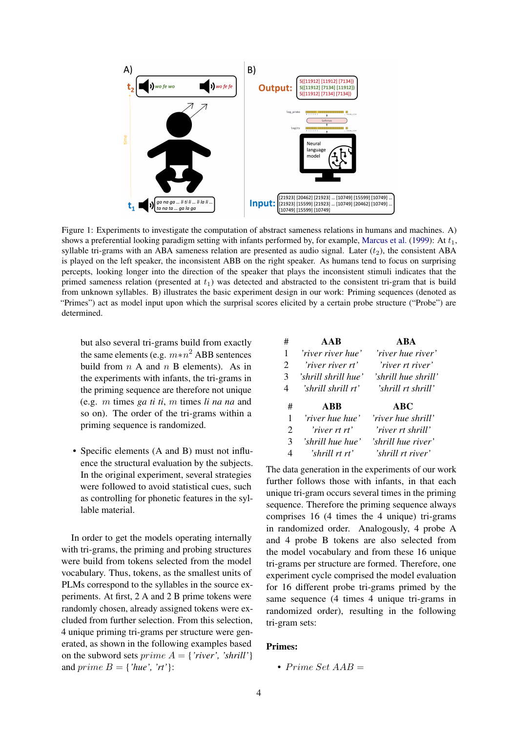<span id="page-3-0"></span>

Figure 1: Experiments to investigate the computation of abstract sameness relations in humans and machines. A) shows a preferential looking paradigm setting with infants performed by, for example, [Marcus et al.](#page-9-0) [\(1999\)](#page-9-0): At  $t_1$ , syllable tri-grams with an ABA sameness relation are presented as audio signal. Later  $(t_2)$ , the consistent ABA is played on the left speaker, the inconsistent ABB on the right speaker. As humans tend to focus on surprising percepts, looking longer into the direction of the speaker that plays the inconsistent stimuli indicates that the primed sameness relation (presented at  $t_1$ ) was detected and abstracted to the consistent tri-gram that is build from unknown syllables. B) illustrates the basic experiment design in our work: Priming sequences (denoted as "Primes") act as model input upon which the surprisal scores elicited by a certain probe structure ("Probe") are determined.

but also several tri-grams build from exactly the same elements (e.g.  $m*n^2$  ABB sentences build from  $n A$  and  $n B$  elements). As in the experiments with infants, the tri-grams in the priming sequence are therefore not unique (e.g. m times *ga ti ti*, m times *li na na* and so on). The order of the tri-grams within a priming sequence is randomized.

• Specific elements (A and B) must not influence the structural evaluation by the subjects. In the original experiment, several strategies were followed to avoid statistical cues, such as controlling for phonetic features in the syllable material.

In order to get the models operating internally with tri-grams, the priming and probing structures were build from tokens selected from the model vocabulary. Thus, tokens, as the smallest units of PLMs correspond to the syllables in the source experiments. At first, 2 A and 2 B prime tokens were randomly chosen, already assigned tokens were excluded from further selection. From this selection, 4 unique priming tri-grams per structure were generated, as shown in the following examples based on the subword sets *prime*  $A = \{ 'river', 'shrill' \}$ and *prime*  $B = \{ 'hue', 'rt' \}$ :

| # | AAR                 | <b>ARA</b>          |
|---|---------------------|---------------------|
| 1 | 'river river hue'   | 'river hue river'   |
| 2 | 'river river rt'    | 'river rt river'    |
| 3 | 'shrill shrill hue' | 'shrill hue shrill' |
| 4 | 'shrill shrill rt'  | 'shrill rt shrill'  |
|   |                     |                     |
| # | <b>ABB</b>          | ABC                 |
| 1 | 'river hue hue'     | 'river hue shrill'  |
| 2 | 'river rt rt'       | 'river rt shrill'   |
| 3 | 'shrill hue hue'    | 'shrill hue river'  |

The data generation in the experiments of our work further follows those with infants, in that each unique tri-gram occurs several times in the priming sequence. Therefore the priming sequence always comprises 16 (4 times the 4 unique) tri-grams in randomized order. Analogously, 4 probe A and 4 probe B tokens are also selected from the model vocabulary and from these 16 unique tri-grams per structure are formed. Therefore, one experiment cycle comprised the model evaluation for 16 different probe tri-grams primed by the same sequence (4 times 4 unique tri-grams in randomized order), resulting in the following tri-gram sets:

## Primes:

• Prime Set  $AAB =$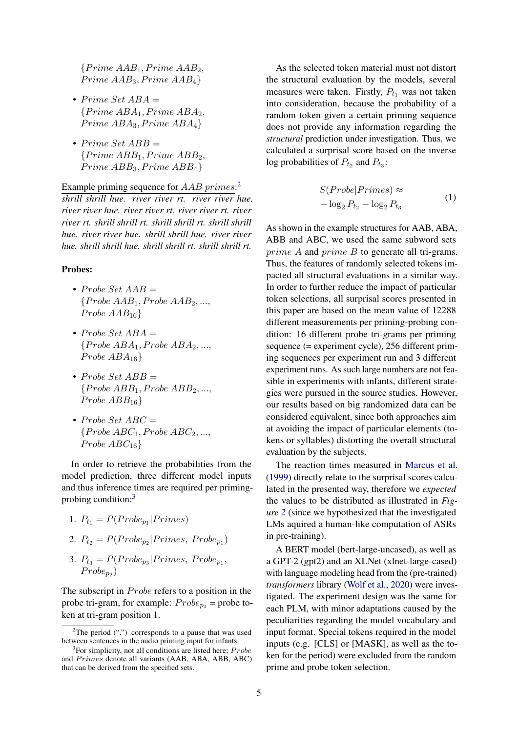${Prime AAB<sub>1</sub>, Prime AAB<sub>2</sub>,$  $Prime AAB<sub>3</sub>, Prime AAB<sub>4</sub>$ 

- Prime Set  $ABA =$  ${PrimeABA<sub>1</sub>, PrimeABA<sub>2</sub>,$  $PrimeABA_3, PrimeABA_4\}$
- Prime Set  $ABB =$  ${Prime ABB<sub>1</sub>, Prime ABB<sub>2</sub>,$  $PrimeABB<sub>3</sub>, PrimeABB<sub>4</sub>$

Example priming sequence for  $AAB \, primes$ : *shrill shrill hue. river river rt. river river hue. river river hue. river river rt. river river rt. river river rt. shrill shrill rt. shrill shrill rt. shrill shrill hue. river river hue. shrill shrill hue. river river hue. shrill shrill hue. shrill shrill rt. shrill shrill rt.*

#### Probes:

- Probe Set  $AAB =$  ${Probe AAB_1, Probe AAB_2, ...,}$ Probe  $AAB_{16}$
- Probe Set  $ABA =$  ${Probe ABA<sub>1</sub>, Probe ABA<sub>2</sub>, ...,$ Probe  $ABA_{16}$
- Probe Set  $ABB =$  ${Probe ABB<sub>1</sub>, ProbABB<sub>2</sub>, ...,$  $Probe ABB_{16}$
- Probe Set  $ABC =$  ${Probe ABC_1, Probe ABC_2, ...,}$ Probe  $ABC_{16}$

In order to retrieve the probabilities from the model prediction, three different model inputs and thus inference times are required per primingprobing condition:[3](#page-4-1)

1. 
$$
P_{t_1} = P(Probe_{p_1} | Primes)
$$

2. 
$$
P_{t_2} = P(Probe_{p_2} | Primes, Probe_{p_1})
$$

3.  $P_{t_3} = P(Probe_{p_3} | Primes, Probe_{p_1},$  $Probe_{p_2}$ 

The subscript in  $Probe$  refers to a position in the probe tri-gram, for example:  $Probe_{p_1}$  = probe token at tri-gram position 1.

As the selected token material must not distort the structural evaluation by the models, several measures were taken. Firstly,  $P_{t_1}$  was not taken into consideration, because the probability of a random token given a certain priming sequence does not provide any information regarding the *structural* prediction under investigation. Thus, we calculated a surprisal score based on the inverse log probabilities of  $P_{t_2}$  and  $P_{t_3}$ :

$$
S(Probe | Primes) \approx -\log_2 P_{t_2} - \log_2 P_{t_3}
$$
 (1)

As shown in the example structures for AAB, ABA, ABB and ABC, we used the same subword sets prime A and prime B to generate all tri-grams. Thus, the features of randomly selected tokens impacted all structural evaluations in a similar way. In order to further reduce the impact of particular token selections, all surprisal scores presented in this paper are based on the mean value of 12288 different measurements per priming-probing condition: 16 different probe tri-grams per priming sequence (= experiment cycle), 256 different priming sequences per experiment run and 3 different experiment runs. As such large numbers are not feasible in experiments with infants, different strategies were pursued in the source studies. However, our results based on big randomized data can be considered equivalent, since both approaches aim at avoiding the impact of particular elements (tokens or syllables) distorting the overall structural evaluation by the subjects.

The reaction times measured in [Marcus et al.](#page-9-0) [\(1999\)](#page-9-0) directly relate to the surprisal scores calculated in the presented way, therefore we *expected* the values to be distributed as illustrated in *Figure [2](#page-5-0)* (since we hypothesized that the investigated LMs aquired a human-like computation of ASRs in pre-training).

A BERT model (bert-large-uncased), as well as a GPT-2 (gpt2) and an XLNet (xlnet-large-cased) with language modeling head from the (pre-trained) *transformers* library [\(Wolf et al.,](#page-10-15) [2020\)](#page-10-15) were investigated. The experiment design was the same for each PLM, with minor adaptations caused by the peculiarities regarding the model vocabulary and input format. Special tokens required in the model inputs (e.g. [CLS] or [MASK], as well as the token for the period) were excluded from the random prime and probe token selection.

<span id="page-4-0"></span><sup>&</sup>lt;sup>2</sup>The period  $("")$  corresponds to a pause that was used between sentences in the audio priming input for infants.

<span id="page-4-1"></span> $3$ For simplicity, not all conditions are listed here; Probe and Primes denote all variants (AAB, ABA, ABB, ABC) that can be derived from the specified sets.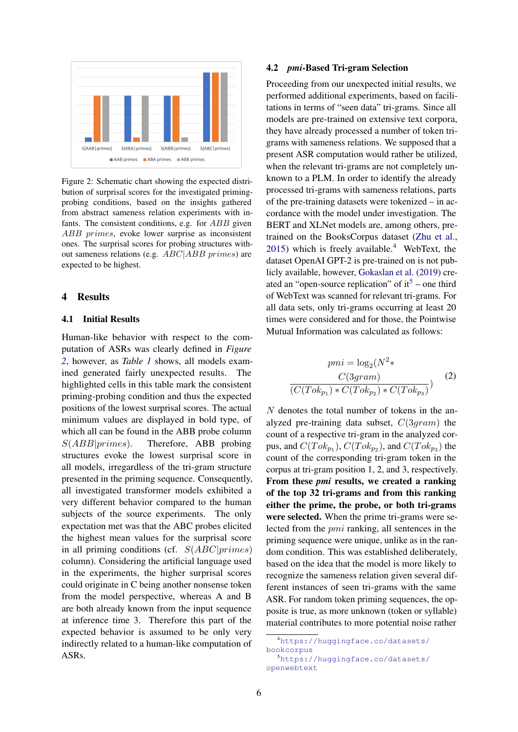<span id="page-5-0"></span>

Figure 2: Schematic chart showing the expected distribution of surprisal scores for the investigated primingprobing conditions, based on the insights gathered from abstract sameness relation experiments with infants. The consistent conditions, e.g. for ABB given ABB primes, evoke lower surprise as inconsistent ones. The surprisal scores for probing structures without sameness relations (e.g. ABC|ABB primes) are expected to be highest.

#### 4 Results

# 4.1 Initial Results

Human-like behavior with respect to the computation of ASRs was clearly defined in *Figure [2](#page-5-0)*, however, as *Table [1](#page-6-0)* shows, all models examined generated fairly unexpected results. The highlighted cells in this table mark the consistent priming-probing condition and thus the expected positions of the lowest surprisal scores. The actual minimum values are displayed in bold type, of which all can be found in the ABB probe column  $S(ABB|primes)$ . Therefore, ABB probing structures evoke the lowest surprisal score in all models, irregardless of the tri-gram structure presented in the priming sequence. Consequently, all investigated transformer models exhibited a very different behavior compared to the human subjects of the source experiments. The only expectation met was that the ABC probes elicited the highest mean values for the surprisal score in all priming conditions (cf.  $S(ABC|primes)$ ) column). Considering the artificial language used in the experiments, the higher surprisal scores could originate in C being another nonsense token from the model perspective, whereas A and B are both already known from the input sequence at inference time 3. Therefore this part of the expected behavior is assumed to be only very indirectly related to a human-like computation of ASRs.

#### 4.2 *pmi*-Based Tri-gram Selection

Proceeding from our unexpected initial results, we performed additional experiments, based on facilitations in terms of "seen data" tri-grams. Since all models are pre-trained on extensive text corpora, they have already processed a number of token trigrams with sameness relations. We supposed that a present ASR computation would rather be utilized, when the relevant tri-grams are not completely unknown to a PLM. In order to identify the already processed tri-grams with sameness relations, parts of the pre-training datasets were tokenized – in accordance with the model under investigation. The BERT and XLNet models are, among others, pretrained on the BooksCorpus dataset [\(Zhu et al.,](#page-10-16) [2015\)](#page-10-16) which is freely available. $4$  WebText, the dataset OpenAI GPT-2 is pre-trained on is not publicly available, however, [Gokaslan et al.](#page-9-27) [\(2019\)](#page-9-27) created an "open-source replication" of  $it<sup>5</sup>$  $it<sup>5</sup>$  $it<sup>5</sup>$  – one third of WebText was scanned for relevant tri-grams. For all data sets, only tri-grams occurring at least 20 times were considered and for those, the Pointwise Mutual Information was calculated as follows:

$$
pmi = \log_2(N^2*)
$$

$$
C(3gram)
$$

$$
\frac{C(3gram)}{(C(Tok_{p_1}) * C(Tok_{p_2}) * C(Tok_{p_3})})
$$
(2)

N denotes the total number of tokens in the analyzed pre-training data subset,  $C(3gram)$  the count of a respective tri-gram in the analyzed corpus, and  $C(Tok_{p_1})$ ,  $C(Tok_{p_2})$ , and  $C(Tok_{p_3})$  the count of the corresponding tri-gram token in the corpus at tri-gram position 1, 2, and 3, respectively. From these *pmi* results, we created a ranking of the top 32 tri-grams and from this ranking either the prime, the probe, or both tri-grams were selected. When the prime tri-grams were selected from the pmi ranking, all sentences in the priming sequence were unique, unlike as in the random condition. This was established deliberately, based on the idea that the model is more likely to recognize the sameness relation given several different instances of seen tri-grams with the same ASR. For random token priming sequences, the opposite is true, as more unknown (token or syllable) material contributes to more potential noise rather

<span id="page-5-1"></span><sup>4</sup>[https://huggingface.co/datasets/](https://huggingface.co/datasets/bookcorpus) [bookcorpus](https://huggingface.co/datasets/bookcorpus)

<span id="page-5-2"></span><sup>5</sup>[https://huggingface.co/datasets/](https://huggingface.co/datasets/openwebtext) [openwebtext](https://huggingface.co/datasets/openwebtext)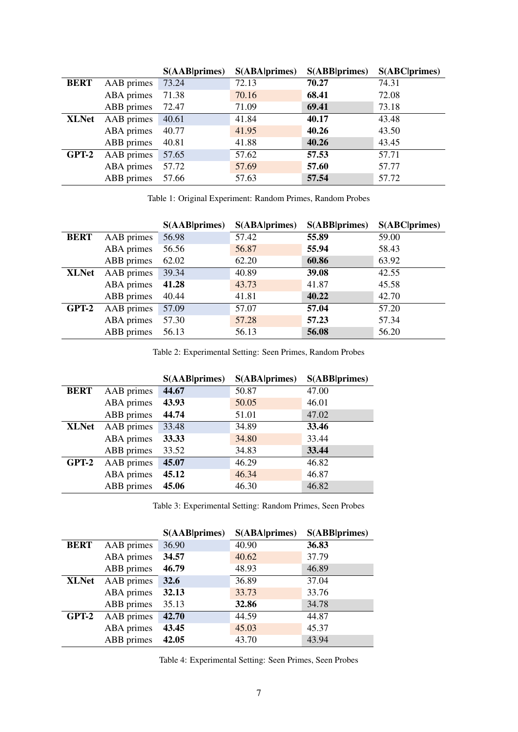<span id="page-6-0"></span>

|              |            | S(AAB  <b>primes</b> ) | <b>S(ABA)</b> primes) | S(ABB primes) | <b>S(ABC primes)</b> |
|--------------|------------|------------------------|-----------------------|---------------|----------------------|
| <b>BERT</b>  | AAB primes | 73.24                  | 72.13                 | 70.27         | 74.31                |
|              | ABA primes | 71.38                  | 70.16                 | 68.41         | 72.08                |
|              | ABB primes | 72.47                  | 71.09                 | 69.41         | 73.18                |
| <b>XLNet</b> | AAB primes | 40.61                  | 41.84                 | 40.17         | 43.48                |
|              | ABA primes | 40.77                  | 41.95                 | 40.26         | 43.50                |
|              | ABB primes | 40.81                  | 41.88                 | 40.26         | 43.45                |
| $GPT-2$      | AAB primes | 57.65                  | 57.62                 | 57.53         | 57.71                |
|              | ABA primes | 57.72                  | 57.69                 | 57.60         | 57.77                |
|              | ABB primes | 57.66                  | 57.63                 | 57.54         | 57.72                |

Table 1: Original Experiment: Random Primes, Random Probes

<span id="page-6-1"></span>

|              |            | S(AAB  <b>primes</b> ) | <b>S(ABA)</b> primes) | S(ABB primes) | <b>S(ABC primes)</b> |
|--------------|------------|------------------------|-----------------------|---------------|----------------------|
| <b>BERT</b>  | AAB primes | 56.98                  | 57.42                 | 55.89         | 59.00                |
|              | ABA primes | 56.56                  | 56.87                 | 55.94         | 58.43                |
|              | ABB primes | 62.02                  | 62.20                 | 60.86         | 63.92                |
| <b>XLNet</b> | AAB primes | 39.34                  | 40.89                 | 39.08         | 42.55                |
|              | ABA primes | 41.28                  | 43.73                 | 41.87         | 45.58                |
|              | ABB primes | 40.44                  | 41.81                 | 40.22         | 42.70                |
| GPT-2        | AAB primes | 57.09                  | 57.07                 | 57.04         | 57.20                |
|              | ABA primes | 57.30                  | 57.28                 | 57.23         | 57.34                |
|              | ABB primes | 56.13                  | 56.13                 | 56.08         | 56.20                |

Table 2: Experimental Setting: Seen Primes, Random Probes

|              |            | <b>S(AAB</b>  primes) | <b>S(ABA primes)</b> | <b>S(ABB primes)</b> |
|--------------|------------|-----------------------|----------------------|----------------------|
| <b>BERT</b>  | AAB primes | 44.67                 | 50.87                | 47.00                |
|              | ABA primes | 43.93                 | 50.05                | 46.01                |
|              | ABB primes | 44.74                 | 51.01                | 47.02                |
| <b>XLNet</b> | AAB primes | 33.48                 | 34.89                | 33.46                |
|              | ABA primes | 33.33                 | 34.80                | 33.44                |
|              | ABB primes | 33.52                 | 34.83                | 33.44                |
| GPT-2        | AAB primes | 45.07                 | 46.29                | 46.82                |
|              | ABA primes | 45.12                 | 46.34                | 46.87                |
|              | ABB primes | 45.06                 | 46.30                | 46.82                |

Table 3: Experimental Setting: Random Primes, Seen Probes

<span id="page-6-2"></span>

|              |            | <b>S(AAB</b>  primes) | <b>S(ABA primes)</b> | <b>S(ABB</b>  primes) |
|--------------|------------|-----------------------|----------------------|-----------------------|
| <b>BERT</b>  | AAB primes | 36.90                 | 40.90                | 36.83                 |
|              | ABA primes | 34.57                 | 40.62                | 37.79                 |
|              | ABB primes | 46.79                 | 48.93                | 46.89                 |
| <b>XLNet</b> | AAB primes | 32.6                  | 36.89                | 37.04                 |
|              | ABA primes | 32.13                 | 33.73                | 33.76                 |
|              | ABB primes | 35.13                 | 32.86                | 34.78                 |
| GPT-2        | AAB primes | 42.70                 | 44.59                | 44.87                 |
|              | ABA primes | 43.45                 | 45.03                | 45.37                 |
|              | ABB primes | 42.05                 | 43.70                | 43.94                 |

Table 4: Experimental Setting: Seen Primes, Seen Probes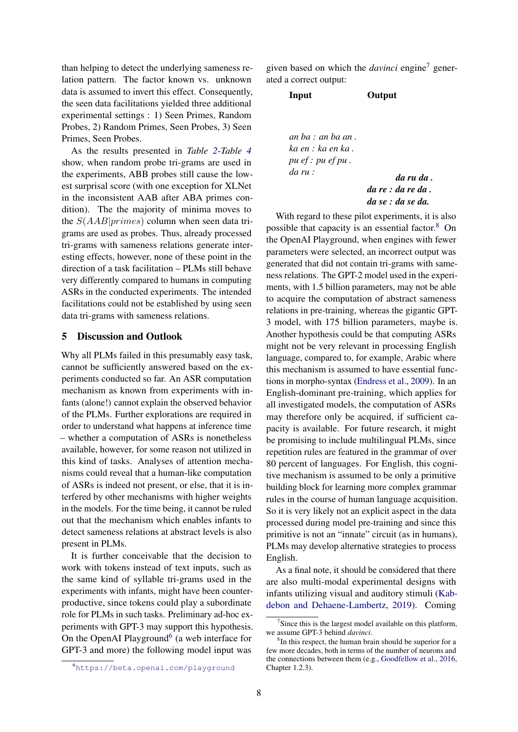than helping to detect the underlying sameness relation pattern. The factor known vs. unknown data is assumed to invert this effect. Consequently, the seen data facilitations yielded three additional experimental settings : 1) Seen Primes, Random Probes, 2) Random Primes, Seen Probes, 3) Seen Primes, Seen Probes.

As the results presented in *Table [2](#page-6-1)*-*Table [4](#page-6-2)* show, when random probe tri-grams are used in the experiments, ABB probes still cause the lowest surprisal score (with one exception for XLNet in the inconsistent AAB after ABA primes condition). The the majority of minima moves to the  $S(AAB|primes)$  column when seen data trigrams are used as probes. Thus, already processed tri-grams with sameness relations generate interesting effects, however, none of these point in the direction of a task facilitation – PLMs still behave very differently compared to humans in computing ASRs in the conducted experiments. The intended facilitations could not be established by using seen data tri-grams with sameness relations.

## 5 Discussion and Outlook

Why all PLMs failed in this presumably easy task, cannot be sufficiently answered based on the experiments conducted so far. An ASR computation mechanism as known from experiments with infants (alone!) cannot explain the observed behavior of the PLMs. Further explorations are required in order to understand what happens at inference time – whether a computation of ASRs is nonetheless available, however, for some reason not utilized in this kind of tasks. Analyses of attention mechanisms could reveal that a human-like computation of ASRs is indeed not present, or else, that it is interfered by other mechanisms with higher weights in the models. For the time being, it cannot be ruled out that the mechanism which enables infants to detect sameness relations at abstract levels is also present in PLMs.

It is further conceivable that the decision to work with tokens instead of text inputs, such as the same kind of syllable tri-grams used in the experiments with infants, might have been counterproductive, since tokens could play a subordinate role for PLMs in such tasks. Preliminary ad-hoc experiments with GPT-3 may support this hypothesis. On the OpenAI Playground<sup>[6](#page-7-0)</sup> (a web interface for GPT-3 and more) the following model input was

given based on which the *davinci* engine[7](#page-7-1) generated a correct output:

Input Output

*an ba : an ba an . ka en : ka en ka . pu ef : pu ef pu . da ru : da ru da .*

*da re : da re da . da se : da se da.*

With regard to these pilot experiments, it is also possible that capacity is an essential factor.[8](#page-7-2) On the OpenAI Playground, when engines with fewer parameters were selected, an incorrect output was generated that did not contain tri-grams with sameness relations. The GPT-2 model used in the experiments, with 1.5 billion parameters, may not be able to acquire the computation of abstract sameness relations in pre-training, whereas the gigantic GPT-3 model, with 175 billion parameters, maybe is. Another hypothesis could be that computing ASRs might not be very relevant in processing English language, compared to, for example, Arabic where this mechanism is assumed to have essential functions in morpho-syntax [\(Endress et al.,](#page-8-14) [2009\)](#page-8-14). In an English-dominant pre-training, which applies for all investigated models, the computation of ASRs may therefore only be acquired, if sufficient capacity is available. For future research, it might be promising to include multilingual PLMs, since repetition rules are featured in the grammar of over 80 percent of languages. For English, this cognitive mechanism is assumed to be only a primitive building block for learning more complex grammar rules in the course of human language acquisition. So it is very likely not an explicit aspect in the data processed during model pre-training and since this primitive is not an "innate" circuit (as in humans), PLMs may develop alternative strategies to process English.

As a final note, it should be considered that there are also multi-modal experimental designs with infants utilizing visual and auditory stimuli [\(Kab](#page-9-10)[debon and Dehaene-Lambertz,](#page-9-10) [2019\)](#page-9-10). Coming

<span id="page-7-0"></span><sup>6</sup><https://beta.openai.com/playground>

<span id="page-7-1"></span> $7$ Since this is the largest model available on this platform, we assume GPT-3 behind *davinci*.

<span id="page-7-2"></span><sup>8</sup> In this respect, the human brain should be superior for a few more decades, both in terms of the number of neurons and the connections between them (e.g., [Goodfellow et al.,](#page-9-28) [2016,](#page-9-28) Chapter 1.2.3).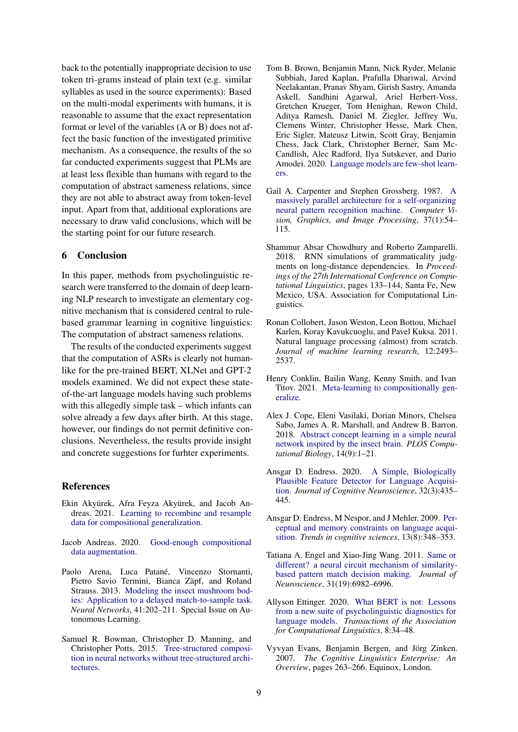back to the potentially inappropriate decision to use token tri-grams instead of plain text (e.g. similar syllables as used in the source experiments): Based on the multi-modal experiments with humans, it is reasonable to assume that the exact representation format or level of the variables (A or B) does not affect the basic function of the investigated primitive mechanism. As a consequence, the results of the so far conducted experiments suggest that PLMs are at least less flexible than humans with regard to the computation of abstract sameness relations, since they are not able to abstract away from token-level input. Apart from that, additional explorations are necessary to draw valid conclusions, which will be the starting point for our future research.

#### 6 Conclusion

In this paper, methods from psycholinguistic research were transferred to the domain of deep learning NLP research to investigate an elementary cognitive mechanism that is considered central to rulebased grammar learning in cognitive linguistics: The computation of abstract sameness relations.

The results of the conducted experiments suggest that the computation of ASRs is clearly not humanlike for the pre-trained BERT, XLNet and GPT-2 models examined. We did not expect these stateof-the-art language models having such problems with this allegedly simple task – which infants can solve already a few days after birth. At this stage, however, our findings do not permit definitive conclusions. Nevertheless, the results provide insight and concrete suggestions for furhter experiments.

#### References

- <span id="page-8-6"></span>Ekin Akyürek, Afra Feyza Akyürek, and Jacob Andreas. 2021. [Learning to recombine and resample](http://arxiv.org/abs/2010.03706) [data for compositional generalization.](http://arxiv.org/abs/2010.03706)
- <span id="page-8-5"></span>Jacob Andreas. 2020. [Good-enough compositional](http://arxiv.org/abs/1904.09545) [data augmentation.](http://arxiv.org/abs/1904.09545)
- <span id="page-8-8"></span>Paolo Arena, Luca Patané, Vincenzo Stornanti, Pietro Savio Termini, Bianca Zäpf, and Roland Strauss. 2013. [Modeling the insect mushroom bod](https://doi.org/10.1016/j.neunet.2012.11.013)[ies: Application to a delayed match-to-sample task.](https://doi.org/10.1016/j.neunet.2012.11.013) *Neural Networks*, 41:202–211. Special Issue on Autonomous Learning.
- <span id="page-8-12"></span>Samuel R. Bowman, Christopher D. Manning, and Christopher Potts. 2015. [Tree-structured composi](http://arxiv.org/abs/1506.04834)[tion in neural networks without tree-structured archi](http://arxiv.org/abs/1506.04834)[tectures.](http://arxiv.org/abs/1506.04834)
- <span id="page-8-2"></span>Tom B. Brown, Benjamin Mann, Nick Ryder, Melanie Subbiah, Jared Kaplan, Prafulla Dhariwal, Arvind Neelakantan, Pranav Shyam, Girish Sastry, Amanda Askell, Sandhini Agarwal, Ariel Herbert-Voss, Gretchen Krueger, Tom Henighan, Rewon Child, Aditya Ramesh, Daniel M. Ziegler, Jeffrey Wu, Clemens Winter, Christopher Hesse, Mark Chen, Eric Sigler, Mateusz Litwin, Scott Gray, Benjamin Chess, Jack Clark, Christopher Berner, Sam Mc-Candlish, Alec Radford, Ilya Sutskever, and Dario Amodei. 2020. [Language models are few-shot learn](http://arxiv.org/abs/2005.14165)[ers.](http://arxiv.org/abs/2005.14165)
- <span id="page-8-9"></span>Gail A. Carpenter and Stephen Grossberg. 1987. [A](https://doi.org/10.1016/S0734-189X(87)80014-2) [massively parallel architecture for a self-organizing](https://doi.org/10.1016/S0734-189X(87)80014-2) [neural pattern recognition machine.](https://doi.org/10.1016/S0734-189X(87)80014-2) *Computer Vision, Graphics, and Image Processing*, 37(1):54– 115.
- <span id="page-8-13"></span>Shammur Absar Chowdhury and Roberto Zamparelli. 2018. RNN simulations of grammaticality judgments on long-distance dependencies. In *Proceedings of the 27th International Conference on Computational Linguistics*, pages 133–144, Santa Fe, New Mexico, USA. Association for Computational Linguistics.
- <span id="page-8-4"></span>Ronan Collobert, Jason Weston, Leon Bottou, Michael Karlen, Koray Kavukcuoglu, and Pavel Kuksa. 2011. Natural language processing (almost) from scratch. *Journal of machine learning research*, 12:2493– 2537.
- <span id="page-8-7"></span>Henry Conklin, Bailin Wang, Kenny Smith, and Ivan Titov. 2021. [Meta-learning to compositionally gen](http://arxiv.org/abs/2106.04252)[eralize.](http://arxiv.org/abs/2106.04252)
- <span id="page-8-11"></span>Alex J. Cope, Eleni Vasilaki, Dorian Minors, Chelsea Sabo, James A. R. Marshall, and Andrew B. Barron. 2018. [Abstract concept learning in a simple neural](https://doi.org/10.1371/journal.pcbi.1006435) [network inspired by the insect brain.](https://doi.org/10.1371/journal.pcbi.1006435) *PLOS Computational Biology*, 14(9):1–21.
- <span id="page-8-0"></span>Ansgar D. Endress. 2020. [A Simple, Biologically](https://doi.org/10.1162/jocn_a_01494) [Plausible Feature Detector for Language Acquisi](https://doi.org/10.1162/jocn_a_01494)[tion.](https://doi.org/10.1162/jocn_a_01494) *Journal of Cognitive Neuroscience*, 32(3):435– 445.
- <span id="page-8-14"></span>Ansgar D. Endress, M Nespor, and J Mehler. 2009. [Per](https://doi.org/10.1016/j.tics.2009.05.005)[ceptual and memory constraints on language acqui](https://doi.org/10.1016/j.tics.2009.05.005)[sition.](https://doi.org/10.1016/j.tics.2009.05.005) *Trends in cognitive sciences*, 13(8):348–353.
- <span id="page-8-10"></span>Tatiana A. Engel and Xiao-Jing Wang. 2011. [Same or](https://doi.org/10.1523/JNEUROSCI.6150-10.2011) [different? a neural circuit mechanism of similarity](https://doi.org/10.1523/JNEUROSCI.6150-10.2011)[based pattern match decision making.](https://doi.org/10.1523/JNEUROSCI.6150-10.2011) *Journal of Neuroscience*, 31(19):6982–6996.
- <span id="page-8-1"></span>Allyson Ettinger. 2020. [What BERT is not: Lessons](https://doi.org/10.1162/tacl_a_00298) [from a new suite of psycholinguistic diagnostics for](https://doi.org/10.1162/tacl_a_00298) [language models.](https://doi.org/10.1162/tacl_a_00298) *Transactions of the Association for Computational Linguistics*, 8:34–48.
- <span id="page-8-3"></span>Vyvyan Evans, Benjamin Bergen, and Jörg Zinken. 2007. *The Cognitive Linguistics Enterprise: An Overview*, pages 263–266. Equinox, London.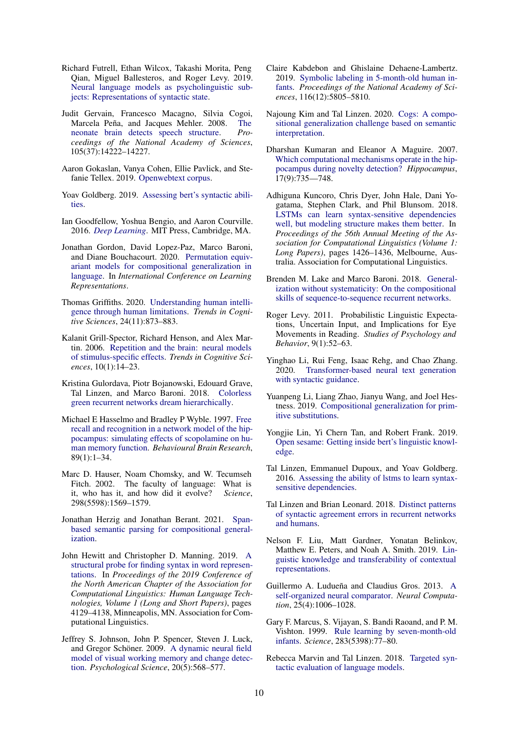- <span id="page-9-22"></span>Richard Futrell, Ethan Wilcox, Takashi Morita, Peng Qian, Miguel Ballesteros, and Roger Levy. 2019. [Neural language models as psycholinguistic sub](http://arxiv.org/abs/1903.03260)[jects: Representations of syntactic state.](http://arxiv.org/abs/1903.03260)
- <span id="page-9-1"></span>Judit Gervain, Francesco Macagno, Silvia Cogoi, Marcela Peña, and Jacques Mehler. 2008. [The](https://doi.org/10.1073/pnas.0806530105) [neonate brain detects speech structure.](https://doi.org/10.1073/pnas.0806530105) *Proceedings of the National Academy of Sciences*, 105(37):14222–14227.
- <span id="page-9-27"></span>Aaron Gokaslan, Vanya Cohen, Ellie Pavlick, and Stefanie Tellex. 2019. [Openwebtext corpus.](http://Skylion007.github.io/OpenWebTextCorpus)
- <span id="page-9-21"></span>Yoav Goldberg. 2019. [Assessing bert's syntactic abili](http://arxiv.org/abs/1901.05287)[ties.](http://arxiv.org/abs/1901.05287)
- <span id="page-9-28"></span>Ian Goodfellow, Yoshua Bengio, and Aaron Courville. 2016. *[Deep Learning](http://www.deeplearningbook.org)*. MIT Press, Cambridge, MA.
- <span id="page-9-5"></span>Jonathan Gordon, David Lopez-Paz, Marco Baroni, and Diane Bouchacourt. 2020. [Permutation equiv](https://openreview.net/forum?id=SylVNerFvr)[ariant models for compositional generalization in](https://openreview.net/forum?id=SylVNerFvr) [language.](https://openreview.net/forum?id=SylVNerFvr) In *International Conference on Learning Representations*.
- <span id="page-9-9"></span>Thomas Griffiths. 2020. [Understanding human intelli](https://doi.org/10.1016/j.tics.2020.09.001)[gence through human limitations.](https://doi.org/10.1016/j.tics.2020.09.001) *Trends in Cognitive Sciences*, 24(11):873–883.
- <span id="page-9-13"></span>Kalanit Grill-Spector, Richard Henson, and Alex Martin. 2006. [Repetition and the brain: neural models](https://doi.org/10.1016/j.tics.2005.11.006) [of stimulus-specific effects.](https://doi.org/10.1016/j.tics.2005.11.006) *Trends in Cognitive Sciences*, 10(1):14–23.
- <span id="page-9-25"></span>Kristina Gulordava, Piotr Bojanowski, Edouard Grave, Tal Linzen, and Marco Baroni. 2018. [Colorless](http://arxiv.org/abs/1803.11138) [green recurrent networks dream hierarchically.](http://arxiv.org/abs/1803.11138)
- <span id="page-9-14"></span>Michael E Hasselmo and Bradley P Wyble. 1997. [Free](https://doi.org/10.1016/S0166-4328(97)00048-X) [recall and recognition in a network model of the hip](https://doi.org/10.1016/S0166-4328(97)00048-X)[pocampus: simulating effects of scopolamine on hu](https://doi.org/10.1016/S0166-4328(97)00048-X)[man memory function.](https://doi.org/10.1016/S0166-4328(97)00048-X) *Behavioural Brain Research*, 89(1):1–34.
- <span id="page-9-2"></span>Marc D. Hauser, Noam Chomsky, and W. Tecumseh Fitch. 2002. The faculty of language: What is it, who has it, and how did it evolve? Science. it, who has it, and how did it evolve? 298(5598):1569–1579.
- <span id="page-9-6"></span>Jonathan Herzig and Jonathan Berant. 2021. [Span](http://arxiv.org/abs/2009.06040)[based semantic parsing for compositional general](http://arxiv.org/abs/2009.06040)[ization.](http://arxiv.org/abs/2009.06040)
- <span id="page-9-20"></span>John Hewitt and Christopher D. Manning. 2019. [A](https://doi.org/10.18653/v1/N19-1419) [structural probe for finding syntax in word represen](https://doi.org/10.18653/v1/N19-1419)[tations.](https://doi.org/10.18653/v1/N19-1419) In *Proceedings of the 2019 Conference of the North American Chapter of the Association for Computational Linguistics: Human Language Technologies, Volume 1 (Long and Short Papers)*, pages 4129–4138, Minneapolis, MN. Association for Computational Linguistics.
- <span id="page-9-15"></span>Jeffrey S. Johnson, John P. Spencer, Steven J. Luck, and Gregor Schöner. 2009. [A dynamic neural field](https://doi.org/10.1111/psci.2009.20.issue-5) [model of visual working memory and change detec](https://doi.org/10.1111/psci.2009.20.issue-5)[tion.](https://doi.org/10.1111/psci.2009.20.issue-5) *Psychological Science*, 20(5):568–577.
- <span id="page-9-10"></span>Claire Kabdebon and Ghislaine Dehaene-Lambertz. 2019. [Symbolic labeling in 5-month-old human in](https://doi.org/10.1073/pnas.1809144116)[fants.](https://doi.org/10.1073/pnas.1809144116) *Proceedings of the National Academy of Sciences*, 116(12):5805–5810.
- <span id="page-9-7"></span>Najoung Kim and Tal Linzen. 2020. [Cogs: A compo](http://arxiv.org/abs/2010.05465)[sitional generalization challenge based on semantic](http://arxiv.org/abs/2010.05465) [interpretation.](http://arxiv.org/abs/2010.05465)
- <span id="page-9-12"></span>Dharshan Kumaran and Eleanor A Maguire. 2007. [Which computational mechanisms operate in the hip](https://doi.org/10.1002/hipo.20326)[pocampus during novelty detection?](https://doi.org/10.1002/hipo.20326) *Hippocampus*, 17(9):735—748.
- <span id="page-9-16"></span>Adhiguna Kuncoro, Chris Dyer, John Hale, Dani Yogatama, Stephen Clark, and Phil Blunsom. 2018. [LSTMs can learn syntax-sensitive dependencies](https://doi.org/10.18653/v1/P18-1132) [well, but modeling structure makes them better.](https://doi.org/10.18653/v1/P18-1132) In *Proceedings of the 56th Annual Meeting of the Association for Computational Linguistics (Volume 1: Long Papers)*, pages 1426–1436, Melbourne, Australia. Association for Computational Linguistics.
- <span id="page-9-3"></span>Brenden M. Lake and Marco Baroni. 2018. [General](http://arxiv.org/abs/1711.00350)[ization without systematicity: On the compositional](http://arxiv.org/abs/1711.00350) [skills of sequence-to-sequence recurrent networks.](http://arxiv.org/abs/1711.00350)
- <span id="page-9-23"></span>Roger Levy. 2011. Probabilistic Linguistic Expectations, Uncertain Input, and Implications for Eye Movements in Reading. *Studies of Psychology and Behavior*, 9(1):52–63.
- <span id="page-9-8"></span>Yinghao Li, Rui Feng, Isaac Rehg, and Chao Zhang. 2020. [Transformer-based neural text generation](http://arxiv.org/abs/2010.01737) [with syntactic guidance.](http://arxiv.org/abs/2010.01737)
- <span id="page-9-4"></span>Yuanpeng Li, Liang Zhao, Jianyu Wang, and Joel Hestness. 2019. [Compositional generalization for prim](http://arxiv.org/abs/1910.02612)[itive substitutions.](http://arxiv.org/abs/1910.02612)
- <span id="page-9-18"></span>Yongjie Lin, Yi Chern Tan, and Robert Frank. 2019. [Open sesame: Getting inside bert's linguistic knowl](http://arxiv.org/abs/1906.01698)[edge.](http://arxiv.org/abs/1906.01698)
- <span id="page-9-24"></span>Tal Linzen, Emmanuel Dupoux, and Yoav Goldberg. 2016. [Assessing the ability of lstms to learn syntax](http://arxiv.org/abs/1611.01368)[sensitive dependencies.](http://arxiv.org/abs/1611.01368)
- <span id="page-9-17"></span>Tal Linzen and Brian Leonard. 2018. [Distinct patterns](http://arxiv.org/abs/1807.06882) [of syntactic agreement errors in recurrent networks](http://arxiv.org/abs/1807.06882) [and humans.](http://arxiv.org/abs/1807.06882)
- <span id="page-9-19"></span>Nelson F. Liu, Matt Gardner, Yonatan Belinkov, Matthew E. Peters, and Noah A. Smith. 2019. [Lin](http://arxiv.org/abs/1903.08855)[guistic knowledge and transferability of contextual](http://arxiv.org/abs/1903.08855) [representations.](http://arxiv.org/abs/1903.08855)
- <span id="page-9-11"></span>Guillermo A. Ludueña and Claudius Gros. 2013. [A](https://doi.org/10.1162/neco_a_00424) [self-organized neural comparator.](https://doi.org/10.1162/neco_a_00424) *Neural Computation*, 25(4):1006–1028.
- <span id="page-9-0"></span>Gary F. Marcus, S. Vijayan, S. Bandi Raoand, and P. M. Vishton. 1999. [Rule learning by seven-month-old](https://doi.org/10.1126/science.283.5398.77) [infants.](https://doi.org/10.1126/science.283.5398.77) *Science*, 283(5398):77–80.
- <span id="page-9-26"></span>Rebecca Marvin and Tal Linzen. 2018. [Targeted syn](http://arxiv.org/abs/1808.09031)[tactic evaluation of language models.](http://arxiv.org/abs/1808.09031)